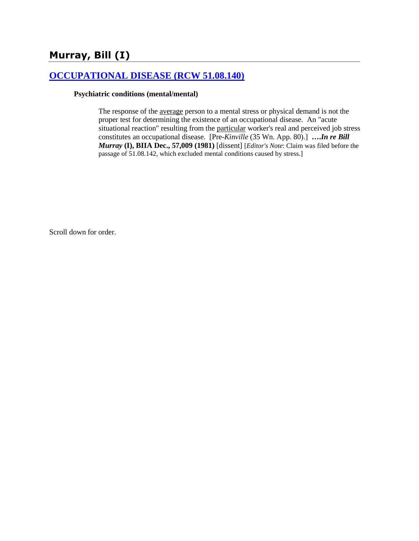# **Murray, Bill (I)**

## **[OCCUPATIONAL DISEASE \(RCW 51.08.140\)](http://www.biia.wa.gov/SDSubjectIndex.html#OCCUPATIONAL_DISEASE)**

#### **Psychiatric conditions (mental/mental)**

The response of the average person to a mental stress or physical demand is not the proper test for determining the existence of an occupational disease. An "acute situational reaction" resulting from the particular worker's real and perceived job stress constitutes an occupational disease. [Pre-*Kinville* (35 Wn. App. 80).] **….***In re Bill Murray* **(I), BIIA Dec., [57,009](http://www.biia.wa.gov/significantdecisions/57009.htm) (1981)** [dissent] [*Editor's Note*: Claim was filed before the passage of 51.08.142, which excluded mental conditions caused by stress.]

Scroll down for order.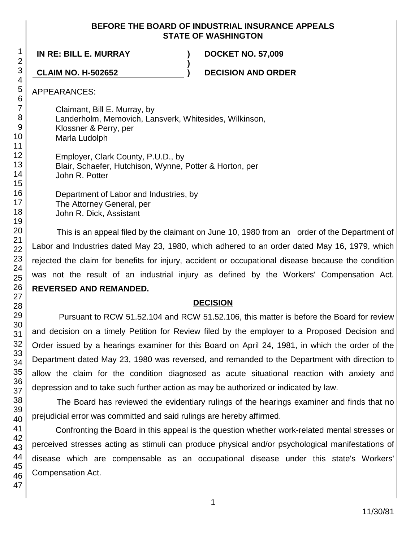#### **BEFORE THE BOARD OF INDUSTRIAL INSURANCE APPEALS STATE OF WASHINGTON**

**)**

**IN RE: BILL E. MURRAY ) DOCKET NO. 57,009**

**CLAIM NO. H-502652 ) DECISION AND ORDER**

APPEARANCES:

Claimant, Bill E. Murray, by Landerholm, Memovich, Lansverk, Whitesides, Wilkinson, Klossner & Perry, per Marla Ludolph Employer, Clark County, P.U.D., by

Blair, Schaefer, Hutchison, Wynne, Potter & Horton, per John R. Potter

Department of Labor and Industries, by The Attorney General, per John R. Dick, Assistant

This is an appeal filed by the claimant on June 10, 1980 from an order of the Department of Labor and Industries dated May 23, 1980, which adhered to an order dated May 16, 1979, which rejected the claim for benefits for injury, accident or occupational disease because the condition was not the result of an industrial injury as defined by the Workers' Compensation Act. **REVERSED AND REMANDED.**

### **DECISION**

Pursuant to RCW 51.52.104 and RCW 51.52.106, this matter is before the Board for review and decision on a timely Petition for Review filed by the employer to a Proposed Decision and Order issued by a hearings examiner for this Board on April 24, 1981, in which the order of the Department dated May 23, 1980 was reversed, and remanded to the Department with direction to allow the claim for the condition diagnosed as acute situational reaction with anxiety and depression and to take such further action as may be authorized or indicated by law.

The Board has reviewed the evidentiary rulings of the hearings examiner and finds that no prejudicial error was committed and said rulings are hereby affirmed.

Confronting the Board in this appeal is the question whether work-related mental stresses or perceived stresses acting as stimuli can produce physical and/or psychological manifestations of disease which are compensable as an occupational disease under this state's Workers' Compensation Act.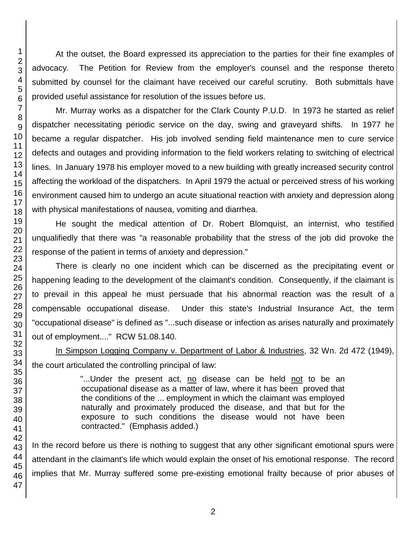At the outset, the Board expressed its appreciation to the parties for their fine examples of advocacy. The Petition for Review from the employer's counsel and the response thereto submitted by counsel for the claimant have received our careful scrutiny. Both submittals have provided useful assistance for resolution of the issues before us.

Mr. Murray works as a dispatcher for the Clark County P.U.D. In 1973 he started as relief dispatcher necessitating periodic service on the day, swing and graveyard shifts. In 1977 he became a regular dispatcher. His job involved sending field maintenance men to cure service defects and outages and providing information to the field workers relating to switching of electrical lines. In January 1978 his employer moved to a new building with greatly increased security control affecting the workload of the dispatchers. In April 1979 the actual or perceived stress of his working environment caused him to undergo an acute situational reaction with anxiety and depression along with physical manifestations of nausea, vomiting and diarrhea.

He sought the medical attention of Dr. Robert Blomquist, an internist, who testified unqualifiedly that there was "a reasonable probability that the stress of the job did provoke the response of the patient in terms of anxiety and depression."

There is clearly no one incident which can be discerned as the precipitating event or happening leading to the development of the claimant's condition. Consequently, if the claimant is to prevail in this appeal he must persuade that his abnormal reaction was the result of a compensable occupational disease. Under this state's Industrial Insurance Act, the term "occupational disease" is defined as "...such disease or infection as arises naturally and proximately out of employment...." RCW 51.08.140.

In Simpson Logging Company v. Department of Labor & Industries, 32 Wn. 2d 472 (1949), the court articulated the controlling principal of law:

> "...Under the present act, no disease can be held not to be an occupational disease as a matter of law, where it has been proved that the conditions of the ... employment in which the claimant was employed naturally and proximately produced the disease, and that but for the exposure to such conditions the disease would not have been contracted." (Emphasis added.)

In the record before us there is nothing to suggest that any other significant emotional spurs were attendant in the claimant's life which would explain the onset of his emotional response. The record implies that Mr. Murray suffered some pre-existing emotional frailty because of prior abuses of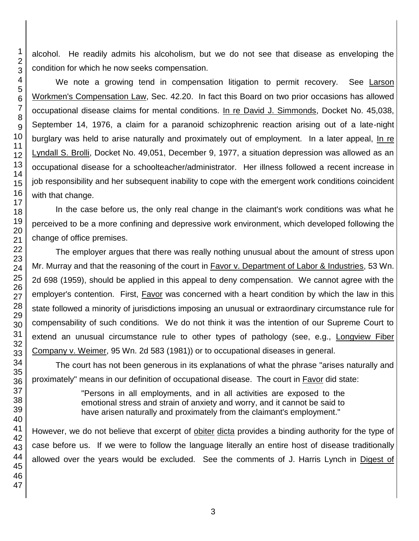alcohol. He readily admits his alcoholism, but we do not see that disease as enveloping the condition for which he now seeks compensation.

We note a growing tend in compensation litigation to permit recovery. See Larson Workmen's Compensation Law, Sec. 42.20. In fact this Board on two prior occasions has allowed occupational disease claims for mental conditions. In re David J. Simmonds, Docket No. 45,038, September 14, 1976, a claim for a paranoid schizophrenic reaction arising out of a late-night burglary was held to arise naturally and proximately out of employment. In a later appeal, In re Lyndall S. Brolli, Docket No. 49,051, December 9, 1977, a situation depression was allowed as an occupational disease for a schoolteacher/administrator. Her illness followed a recent increase in job responsibility and her subsequent inability to cope with the emergent work conditions coincident with that change.

In the case before us, the only real change in the claimant's work conditions was what he perceived to be a more confining and depressive work environment, which developed following the change of office premises.

The employer argues that there was really nothing unusual about the amount of stress upon Mr. Murray and that the reasoning of the court in Favor v. Department of Labor & Industries, 53 Wn. 2d 698 (1959), should be applied in this appeal to deny compensation. We cannot agree with the employer's contention. First, Favor was concerned with a heart condition by which the law in this state followed a minority of jurisdictions imposing an unusual or extraordinary circumstance rule for compensability of such conditions. We do not think it was the intention of our Supreme Court to extend an unusual circumstance rule to other types of pathology (see, e.g., Longview Fiber Company v. Weimer, 95 Wn. 2d 583 (1981)) or to occupational diseases in general.

The court has not been generous in its explanations of what the phrase "arises naturally and proximately" means in our definition of occupational disease. The court in **Favor** did state:

> "Persons in all employments, and in all activities are exposed to the emotional stress and strain of anxiety and worry, and it cannot be said to have arisen naturally and proximately from the claimant's employment."

However, we do not believe that excerpt of obiter dicta provides a binding authority for the type of case before us. If we were to follow the language literally an entire host of disease traditionally allowed over the years would be excluded. See the comments of J. Harris Lynch in Digest of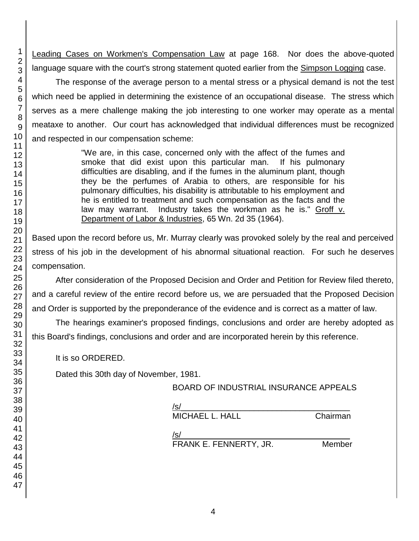Leading Cases on Workmen's Compensation Law at page 168. Nor does the above-quoted language square with the court's strong statement quoted earlier from the Simpson Logging case.

The response of the average person to a mental stress or a physical demand is not the test which need be applied in determining the existence of an occupational disease. The stress which serves as a mere challenge making the job interesting to one worker may operate as a mental meataxe to another. Our court has acknowledged that individual differences must be recognized and respected in our compensation scheme:

> "We are, in this case, concerned only with the affect of the fumes and smoke that did exist upon this particular man. If his pulmonary difficulties are disabling, and if the fumes in the aluminum plant, though they be the perfumes of Arabia to others, are responsible for his pulmonary difficulties, his disability is attributable to his employment and he is entitled to treatment and such compensation as the facts and the law may warrant. Industry takes the workman as he is." Groff v. Department of Labor & Industries, 65 Wn. 2d 35 (1964).

Based upon the record before us, Mr. Murray clearly was provoked solely by the real and perceived stress of his job in the development of his abnormal situational reaction. For such he deserves compensation.

After consideration of the Proposed Decision and Order and Petition for Review filed thereto, and a careful review of the entire record before us, we are persuaded that the Proposed Decision and Order is supported by the preponderance of the evidence and is correct as a matter of law.

The hearings examiner's proposed findings, conclusions and order are hereby adopted as this Board's findings, conclusions and order and are incorporated herein by this reference.

It is so ORDERED.

Dated this 30th day of November, 1981.

BOARD OF INDUSTRIAL INSURANCE APPEALS

| /s/                    |          |
|------------------------|----------|
| <b>MICHAEL L. HALL</b> | Chairman |
| /s/                    |          |
| FRANK E. FENNERTY, JR. | Member   |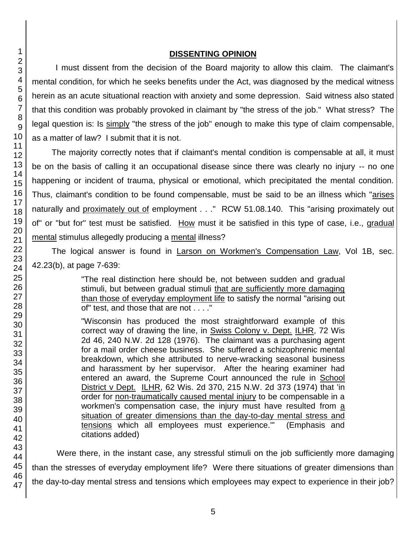#### **DISSENTING OPINION**

I must dissent from the decision of the Board majority to allow this claim. The claimant's mental condition, for which he seeks benefits under the Act, was diagnosed by the medical witness herein as an acute situational reaction with anxiety and some depression. Said witness also stated that this condition was probably provoked in claimant by "the stress of the job." What stress? The legal question is: Is simply "the stress of the job" enough to make this type of claim compensable, as a matter of law? I submit that it is not.

The majority correctly notes that if claimant's mental condition is compensable at all, it must be on the basis of calling it an occupational disease since there was clearly no injury -- no one happening or incident of trauma, physical or emotional, which precipitated the mental condition. Thus, claimant's condition to be found compensable, must be said to be an illness which "arises naturally and proximately out of employment . . ." RCW 51.08.140. This "arising proximately out of" or "but for" test must be satisfied. How must it be satisfied in this type of case, i.e., gradual mental stimulus allegedly producing a mental illness?

The logical answer is found in Larson on Workmen's Compensation Law, Vol 1B, sec. 42.23(b), at page 7-639:

> "The real distinction here should be, not between sudden and gradual stimuli, but between gradual stimuli that are sufficiently more damaging than those of everyday employment life to satisfy the normal "arising out of" test, and those that are not . . . ."

> "Wisconsin has produced the most straightforward example of this correct way of drawing the line, in Swiss Colony v. Dept. ILHR, 72 Wis 2d 46, 240 N.W. 2d 128 (1976). The claimant was a purchasing agent for a mail order cheese business. She suffered a schizophrenic mental breakdown, which she attributed to nerve-wracking seasonal business and harassment by her supervisor. After the hearing examiner had entered an award, the Supreme Court announced the rule in School District v Dept. ILHR, 62 Wis. 2d 370, 215 N.W. 2d 373 (1974) that 'in order for non-traumatically caused mental injury to be compensable in a workmen's compensation case, the injury must have resulted from a situation of greater dimensions than the day-to-day mental stress and tensions which all employees must experience.'" (Emphasis and citations added)

Were there, in the instant case, any stressful stimuli on the job sufficiently more damaging than the stresses of everyday employment life? Were there situations of greater dimensions than the day-to-day mental stress and tensions which employees may expect to experience in their job?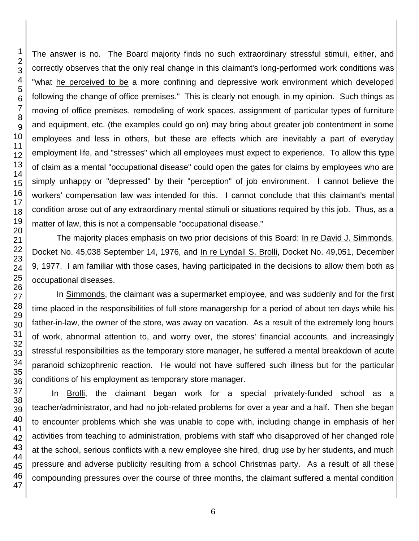The answer is no. The Board majority finds no such extraordinary stressful stimuli, either, and correctly observes that the only real change in this claimant's long-performed work conditions was "what he perceived to be a more confining and depressive work environment which developed following the change of office premises." This is clearly not enough, in my opinion. Such things as moving of office premises, remodeling of work spaces, assignment of particular types of furniture and equipment, etc. (the examples could go on) may bring about greater job contentment in some employees and less in others, but these are effects which are inevitably a part of everyday employment life, and "stresses" which all employees must expect to experience. To allow this type of claim as a mental "occupational disease" could open the gates for claims by employees who are simply unhappy or "depressed" by their "perception" of job environment. I cannot believe the workers' compensation law was intended for this. I cannot conclude that this claimant's mental condition arose out of any extraordinary mental stimuli or situations required by this job. Thus, as a matter of law, this is not a compensable "occupational disease."

The majority places emphasis on two prior decisions of this Board: In re David J. Simmonds, Docket No. 45,038 September 14, 1976, and In re Lyndall S. Brolli, Docket No. 49,051, December 9, 1977. I am familiar with those cases, having participated in the decisions to allow them both as occupational diseases.

In Simmonds, the claimant was a supermarket employee, and was suddenly and for the first time placed in the responsibilities of full store managership for a period of about ten days while his father-in-law, the owner of the store, was away on vacation. As a result of the extremely long hours of work, abnormal attention to, and worry over, the stores' financial accounts, and increasingly stressful responsibilities as the temporary store manager, he suffered a mental breakdown of acute paranoid schizophrenic reaction. He would not have suffered such illness but for the particular conditions of his employment as temporary store manager.

In Brolli, the claimant began work for a special privately-funded school as a teacher/administrator, and had no job-related problems for over a year and a half. Then she began to encounter problems which she was unable to cope with, including change in emphasis of her activities from teaching to administration, problems with staff who disapproved of her changed role at the school, serious conflicts with a new employee she hired, drug use by her students, and much pressure and adverse publicity resulting from a school Christmas party. As a result of all these compounding pressures over the course of three months, the claimant suffered a mental condition